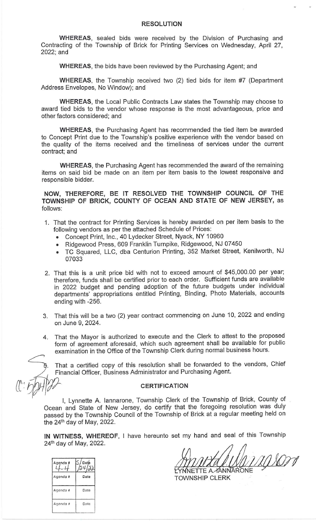## **RESOLUTION**

WHEREAS, sealed bids were received by the Division of Purchasing and Contracting of the Township of Brick for Printing Services on Wednesday, April 27, 2022; and

**WHEREAS**, the bids have been reviewed by the Purchasing Agent; and

WHEREAS, the Township received two (2) tied bids for item #7 (Department Address Envelopes, No Window); and

WHEREAS, the Local Public Contracts Law states the Township may choose to award tied bids to the vendor whose response is the most advantageous, price and other factors considered; and

WHEREAS, the Purchasing Agent has recommended the tied item be awarded to Concept Print due to the Township's positive experience with the vendor based on the quality of the items received and the timeliness of services under the current contract; and

**WHEREAS**, the Purchasing Agent has recommended the award of the remaining items on said bid be made on an item per item basis to the lowest responsive and responsible bidder.

## NOW, THEREFORE, BE IT RESOLVED THE TOWNSHIP COUNCIL OF THE TOWNSHIP OF BRICK, COUNTY OF OCEAN AND STATE OF NEW JERSEY, as follows:

- 1. That the contract for Printing Services is hereby awarded on per item basis to the following vendors as per the attached Schedule of Prices:
	- Concept Print, Inc., 40 Lydecker Street, Nyack, NY 10960
	- · Ridgewood Press, 609 Franklin Turnpike, Ridgewood, NJ 07450
	- TC Squared, LLC, dba Centurion Printing, 352 Market Street, Kenilworth, NJ 07033
- 2. That this is a unit price bid with not to exceed amount of \$45,000.00 per year; therefore, funds shall be certified prior to each order. Sufficient funds are available in 2022 budget and pending adoption of the future budgets under individual departments' appropriations entitled Printing, Binding, Photo Materials, accounts ending with -256.
- 3. That this will be a two (2) year contract commencing on June 10, 2022 and ending on June 9, 2024.
- 4. That the Mayor is authorized to execute and the Clerk to attest to the proposed form of agreement aforesaid, which such agreement shall be available for public examination in the Office of the Township Clerk during normal business hours.

That a certified copy of this resolution shall be forwarded to the vendors, Chief Financial Officer, Business Administrator and Purchasing Agent.

## **CERTIFICATION**

I, Lynnette A. lannarone, Township Clerk of the Township of Brick, County of Ocean and State of New Jersey, do certify that the foregoing resolution was duly passed by the Township Council of the Township of Brick at a regular meeting held on the 24<sup>th</sup> day of May, 2022.

IN WITNESS, WHEREOF, I have hereunto set my hand and seal of this Township 24th day of May, 2022.

nson IETTE A *-* ANNARONE

**TOWNSHIP CLERK** 

| Agenda#  | Date<br>$\dot{\omega}$ |
|----------|------------------------|
| Agenda # | Date                   |
| Agenda#  | Date                   |
| Agenda # | Date                   |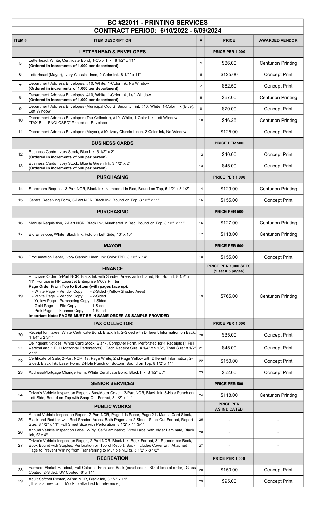| <b>BC #22011 - PRINTING SERVICES</b><br>CONTRACT PERIOD: 6/10/2022 - 6/09/2024 |                                                                                                                                                                                                                                                                                                                                                                                                                                                    |                |                                             |                           |
|--------------------------------------------------------------------------------|----------------------------------------------------------------------------------------------------------------------------------------------------------------------------------------------------------------------------------------------------------------------------------------------------------------------------------------------------------------------------------------------------------------------------------------------------|----------------|---------------------------------------------|---------------------------|
| <b>ITEM#</b>                                                                   | <b>ITEM DESCRIPTION</b>                                                                                                                                                                                                                                                                                                                                                                                                                            | #              | <b>PRICE</b>                                | <b>AWARDED VENDOR</b>     |
|                                                                                | <b>LETTERHEAD &amp; ENVELOPES</b>                                                                                                                                                                                                                                                                                                                                                                                                                  |                | <b>PRICE PER 1,000</b>                      |                           |
| 5                                                                              | Letterhead, White, Certificate Bond, 1-Color Ink, 8 1/2" x 11"<br>(Ordered in increments of 1,000 per department)                                                                                                                                                                                                                                                                                                                                  | 5              | \$86.00                                     | <b>Centurion Printing</b> |
| 6                                                                              | Letterhead (Mayor), Ivory Classic Linen, 2-Color Ink, 8 1/2" x 11"                                                                                                                                                                                                                                                                                                                                                                                 | 6              | \$125.00                                    | <b>Concept Print</b>      |
| $\overline{7}$                                                                 | Department Address Envelopes, #10, White, 1-Color Ink, No Window<br>(Ordered in increments of 1,000 per department)                                                                                                                                                                                                                                                                                                                                | $\overline{7}$ | \$62.50                                     | <b>Concept Print</b>      |
| 8                                                                              | Department Address Envelopes, #10, White, 1-Color Ink, Left Window<br>(Ordered in increments of 1,000 per department)                                                                                                                                                                                                                                                                                                                              | 8              | \$67.00                                     | <b>Centurion Printing</b> |
| 9                                                                              | Department Address Envelopes (Municipal Court), Security Tint, #10, White, 1-Color Ink (Blue),<br>Left Window                                                                                                                                                                                                                                                                                                                                      | 9              | \$70.00                                     | <b>Concept Print</b>      |
| 10                                                                             | Department Address Envelopes (Tax Collector), #10, White, 1-Color Ink, Left Window<br>"TAX BILL ENCLOSED" Printed on Envelope                                                                                                                                                                                                                                                                                                                      | 10             | \$46.25                                     | <b>Centurion Printing</b> |
| 11                                                                             | Department Address Envelopes (Mayor), #10, Ivory Classic Linen, 2-Color Ink, No Window                                                                                                                                                                                                                                                                                                                                                             | 11             | \$125.00                                    | <b>Concept Print</b>      |
|                                                                                | <b>BUSINESS CARDS</b>                                                                                                                                                                                                                                                                                                                                                                                                                              |                | <b>PRICE PER 500</b>                        |                           |
| 12                                                                             | Business Cards, Ivory Stock, Blue Ink, 3 1/2" x 2"<br>(Ordered in increments of 500 per person)                                                                                                                                                                                                                                                                                                                                                    | 12             | \$40.00                                     | <b>Concept Print</b>      |
| 13                                                                             | Business Cards, Ivory Stock, Blue & Green Ink, 3 1/2" x 2"<br>(Ordered in increments of 500 per person)                                                                                                                                                                                                                                                                                                                                            | 13             | \$45.00                                     | <b>Concept Print</b>      |
|                                                                                | <b>PURCHASING</b>                                                                                                                                                                                                                                                                                                                                                                                                                                  |                | <b>PRICE PER 1,000</b>                      |                           |
| 14                                                                             | Storeroom Request, 3-Part NCR, Black Ink, Numbered in Red, Bound on Top, 5 1/2" x 8 1/2"                                                                                                                                                                                                                                                                                                                                                           | 14             | \$129.00                                    | <b>Centurion Printing</b> |
| 15                                                                             | Central Receiving Form, 3-Part NCR, Black Ink, Bound on Top, 8 1/2" x 11"                                                                                                                                                                                                                                                                                                                                                                          | 15             | \$155.00                                    | <b>Concept Print</b>      |
|                                                                                | <b>PURCHASING</b>                                                                                                                                                                                                                                                                                                                                                                                                                                  |                | PRICE PER 500                               |                           |
| 16                                                                             | Manual Requisition, 2-Part NCR, Black Ink, Numbered in Red, Bound on Top, 8 1/2" x 11"                                                                                                                                                                                                                                                                                                                                                             | 16             | \$127.00                                    | <b>Centurion Printing</b> |
| 17                                                                             | Bid Envelope, White, Black Ink, Fold on Left Side, 13" x 10"                                                                                                                                                                                                                                                                                                                                                                                       | 17             | \$118.00                                    | <b>Centurion Printing</b> |
|                                                                                | <b>MAYOR</b>                                                                                                                                                                                                                                                                                                                                                                                                                                       |                | PRICE PER 500                               |                           |
| 18                                                                             | Proclamation Paper, Ivory Classic Linen, Ink Color TBD, 8 1/2" x 14"                                                                                                                                                                                                                                                                                                                                                                               | 18             | \$155.00                                    | <b>Concept Print</b>      |
|                                                                                | <b>FINANCE</b>                                                                                                                                                                                                                                                                                                                                                                                                                                     |                | PRICE PER 1,000 SETS<br>$(1 set = 5 pages)$ |                           |
| 19                                                                             | Purchase Order, 5-Part NCR, Black Ink with Shaded Areas as Indicated, Not Bound, 8 1/2" x<br>11". For use in HP LaserJet Enterprise M609 Printer<br>Page Order From Top to Bottom (with pages face up):<br>- White Page - Vendor Copy<br>- 2-Sided (Yellow Shaded Area)<br>- White Page - Vendor Copy<br>- 2-Sided<br>- Yellow Page - Purchasing Copy - 1-Sided<br>- Gold Page - File Copy<br>- 1-Sided<br>- Pink Page - Finance Copy<br>- 1-Sided | 19             | \$765.00                                    | <b>Centurion Printing</b> |
|                                                                                | Important Note: PAGES MUST BE IN SAME ORDER AS SAMPLE PROVIDED                                                                                                                                                                                                                                                                                                                                                                                     |                |                                             |                           |
|                                                                                | <b>TAX COLLECTOR</b>                                                                                                                                                                                                                                                                                                                                                                                                                               |                | <b>PRICE PER 1,000</b>                      |                           |
| 20                                                                             | Receipt for Taxes, White Certificate Bond, Black Ink, 2-Sided with Different Information on Back,<br>4 1/4" x 2 3/4"                                                                                                                                                                                                                                                                                                                               | 20             | \$35.00                                     | <b>Concept Print</b>      |
| 21                                                                             | Delinquent Notices, White Card Stock, Blank, Computer Form, Perforated for 4 Receipts (1 Full<br>Vertical and 1 Full Horizontal Perforations), Each Receipt Size: 4 1/4" x 5 1/2", Total Size: 8 1/2"<br>x 11"                                                                                                                                                                                                                                     | 21             | \$45.00                                     | <b>Concept Print</b>      |
| 22                                                                             | Certificate of Sale, 2-Part NCR, 1st Page White, 2nd Page Yellow with Different Information, 2-<br>Sided, Black Ink, Laser Form, 2-Hole Punch on Bottom, Bound on Top, 8 1/2" x 11"                                                                                                                                                                                                                                                                | 22             | \$150.00                                    | <b>Concept Print</b>      |
| 23                                                                             | Address/Mortgage Change Form, White Certificate Bond, Black Ink, 3 1/2" x 7"                                                                                                                                                                                                                                                                                                                                                                       | 23             | \$52.00                                     | <b>Concept Print</b>      |
|                                                                                | <b>SENIOR SERVICES</b>                                                                                                                                                                                                                                                                                                                                                                                                                             |                | PRICE PER 500                               |                           |
| 24                                                                             | Driver's Vehicle Inspection Report - Bus/Motor Coach, 2-Part NCR, Black Ink, 3-Hole Punch on<br>Left Side, Bound on Top with Snap Out Format, 8 1/2" x 11"                                                                                                                                                                                                                                                                                         | 24             | \$118.00                                    | <b>Centurion Printing</b> |
|                                                                                | <b>PUBLIC WORKS</b>                                                                                                                                                                                                                                                                                                                                                                                                                                |                | <b>PRICE PER</b><br><b>AS INDICATED</b>     |                           |
| 25                                                                             | Annual Vehicle Inspection Report, 2-Part NCR, Page 1 is Paper, Page 2 is Manila Card Stock,<br>Black and Red Ink with Red Shaded Areas, Both Pages are 2-Sided, Snap-Out Format, Report<br>Size: 8 1/2" x 11", Full Sheet Size with Perforation: 8 1/2" x 11 3/4"                                                                                                                                                                                  | 25             |                                             |                           |
| 26                                                                             | Annual Vehicle Inspection Label, 2-Ply, Self-Laminating, Vinyl Label with Mylar Laminate, Black<br>Ink, 5" x 4"                                                                                                                                                                                                                                                                                                                                    | 26             |                                             |                           |
| 27                                                                             | Driver's Vehicle Inspection Report, 2-Part NCR, Black Ink, Book Format, 31 Reports per Book,<br>Book Bound with Staples, Perforation on Top of Report, Book Includes Cover with Attached<br>Page to Prevent Writing from Transferring to Multiple NCRs, 5 1/2" x 8 1/2"                                                                                                                                                                            | 27             |                                             |                           |
|                                                                                | <b>RECREATION</b>                                                                                                                                                                                                                                                                                                                                                                                                                                  |                | <b>PRICE PER 1,000</b>                      |                           |
| 28                                                                             | Farmers Market Handout, Full Color on Front and Back (exact color TBD at time of order), Gloss<br>Coated, 2-Sided, UV Coated, 6" x 11"                                                                                                                                                                                                                                                                                                             | 28             | \$150.00                                    | <b>Concept Print</b>      |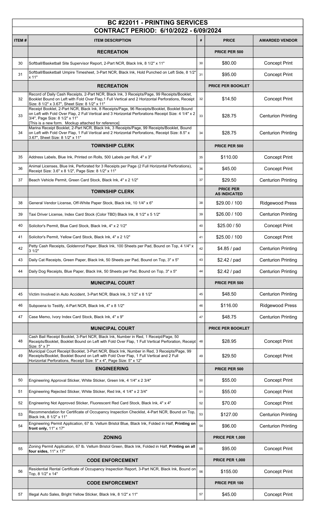| <b>BC #22011 - PRINTING SERVICES</b> |                                                                                                                                                                                                                                                                                            |    |                                         |                           |
|--------------------------------------|--------------------------------------------------------------------------------------------------------------------------------------------------------------------------------------------------------------------------------------------------------------------------------------------|----|-----------------------------------------|---------------------------|
|                                      | CONTRACT PERIOD: 6/10/2022 - 6/09/2024                                                                                                                                                                                                                                                     |    |                                         |                           |
| ITEM#                                | <b>ITEM DESCRIPTION</b>                                                                                                                                                                                                                                                                    | #  | <b>PRICE</b>                            | <b>AWARDED VENDOR</b>     |
|                                      | <b>RECREATION</b>                                                                                                                                                                                                                                                                          |    | PRICE PER 500                           |                           |
| 30                                   | Softball/Basketball Site Supervisor Report, 2-Part NCR, Black Ink, 8 1/2" x 11"                                                                                                                                                                                                            | 30 | \$80.00                                 | <b>Concept Print</b>      |
| 31                                   | Softball/Basketball Umpire Timesheet, 3-Part NCR, Black Ink, Hold Punched on Left Side, 8 1/2"<br>x 11"                                                                                                                                                                                    | 31 | \$95.00                                 | <b>Concept Print</b>      |
|                                      | <b>RECREATION</b>                                                                                                                                                                                                                                                                          |    | <b>PRICE PER BOOKLET</b>                |                           |
| 32                                   | Record of Daily Cash Receipts, 2-Part NCR, Black Ink, 3 Receipts/Page, 99 Receipts/Booklet,<br>Booklet Bound on Left with Fold Over Flap, 1 Full Vertical and 2 Horizontal Perforations, Receipt<br>Size: 8 1/2" x 3.67", Sheet Size: 8 1/2" x 11"                                         | 32 | \$14.50                                 | <b>Concept Print</b>      |
| 33                                   | Receipt Booklet, 2-Part NCR, Black Ink, 8 Receipts/Page, 96 Receipts/Booklet, Booklet Bound<br>on Left with Fold Over Flap, 2 Full Vertical and 3 Horizontal Perforations Receipt Size: 4 1/4" x 2<br>3/4", Page Size: 8 1/2" x 11"<br>[This is a new form. Mockup attached for reference] | 33 | \$28.75                                 | <b>Centurion Printing</b> |
| 34                                   | Marina Receipt Booklet, 2-Part NCR, Black Ink, 3 Receipts/Page, 99 Receipts/Booklet, Bound<br>on Left with Fold Over Flap, 1 Full Vertical and 2 Horizontal Perforations, Receipt Size: 8.5" x<br>3.67", Sheet Size: 8 1/2" x 11"                                                          | 34 | \$28.75                                 | <b>Centurion Printing</b> |
|                                      | <b>TOWNSHIP CLERK</b>                                                                                                                                                                                                                                                                      |    | PRICE PER 500                           |                           |
| 35                                   | Address Labels, Blue Ink, Printed on Rolls, 500 Labels per Roll, 4" x 3"                                                                                                                                                                                                                   | 35 | \$110.00                                | <b>Concept Print</b>      |
| 36                                   | Animal Licenses, Blue Ink, Perforated for 3 Receipts per Page (2 Full Horizontal Perforations),<br>Receipt Size: 3.6" x 8 1/2", Page Size: 8 1/2" x 11"                                                                                                                                    | 36 | \$45.00                                 | <b>Concept Print</b>      |
| 37                                   | Beach Vehicle Permit, Green Card Stock, Black Ink, 4" x 2 1/2"                                                                                                                                                                                                                             | 37 | \$29.50                                 | <b>Centurion Printing</b> |
|                                      | <b>TOWNSHIP CLERK</b>                                                                                                                                                                                                                                                                      |    | <b>PRICE PER</b><br><b>AS INDICATED</b> |                           |
| 38                                   | General Vendor License, Off-White Paper Stock, Black Ink, 10 1/4" x 6"                                                                                                                                                                                                                     | 38 | \$29.00 / 100                           | <b>Ridgewood Press</b>    |
| 39                                   | Taxi Driver License, Index Card Stock (Color TBD) Black Ink, 8 1/2" x 5 1/2"                                                                                                                                                                                                               | 39 | \$26.00 / 100                           | <b>Centurion Printing</b> |
| 40                                   | Solicitor's Permit, Blue Card Stock, Black Ink, 4" x 2 1/2"                                                                                                                                                                                                                                | 40 | \$25.00 / 50                            | <b>Concept Print</b>      |
| 41                                   | Solicitor's Permit, Yellow Card Stock, Black Ink, 4" x 2 1/2"                                                                                                                                                                                                                              | 41 | \$25.00 / 100                           | <b>Concept Print</b>      |
| 42                                   | Petty Cash Receipts, Goldenrod Paper, Black Ink, 100 Sheets per Pad, Bound on Top, 4 1/4" x<br>3 1/2"                                                                                                                                                                                      | 42 | \$4.85 / pad                            | Centurion Printing        |
| 43                                   | Daily Cat Receipts, Green Paper, Black Ink, 50 Sheets per Pad, Bound on Top, 3" x 5"                                                                                                                                                                                                       | 43 | \$2.42 / pad                            | <b>Centurion Printing</b> |
| 44                                   | Daily Dog Receipts, Blue Paper, Black Ink, 50 Sheets per Pad, Bound on Top, 3" x 5"                                                                                                                                                                                                        | 44 | \$2.42 / pad                            | <b>Centurion Printing</b> |
|                                      | <b>MUNICIPAL COURT</b>                                                                                                                                                                                                                                                                     |    | PRICE PER 500                           |                           |
| 45                                   | Victim Involved in Auto Accident, 3-Part NCR, Black Ink, 3 1/2" x 8 1/2"                                                                                                                                                                                                                   | 45 | \$48.50                                 | <b>Centurion Printing</b> |
| 46                                   | Subpoena to Testify, 4-Part NCR, Black Ink, 4" x 8 1/2"                                                                                                                                                                                                                                    | 46 | \$116.00                                | <b>Ridgewood Press</b>    |
| 47                                   | Case Memo, Ivory Index Card Stock, Black Ink, 4" x 9"                                                                                                                                                                                                                                      | 47 | \$48.75                                 | <b>Centurion Printing</b> |
|                                      | <b>MUNICIPAL COURT</b>                                                                                                                                                                                                                                                                     |    | <b>PRICE PER BOOKLET</b>                |                           |
| 48                                   | Cash Bail Receipt Booklet, 3-Part NCR, Black Ink, Number in Red, 1 Receipt/Page, 50<br>Receipts/Booklet, Booklet Bound on Left with Fold Over Flap, 1 Full Vertical Perforation, Receipt<br>Size: 5" x 7"                                                                                  | 48 | \$28.95                                 | <b>Concept Print</b>      |
| 49                                   | Municipal Court Receipt Booklet, 3-Part NCR, Black Ink, Number in Red, 3 Receipts/Page, 99<br>Receipts/Booklet, Booklet Bound on Left with Fold Over Flap, 1 Full Vertical and 2 Full<br>Horizontal Perforations, Receipt Size: 5" x 4", Page Size: 5" x 12"                               | 49 | \$29.50                                 | <b>Concept Print</b>      |
|                                      | <b>ENGINEERING</b>                                                                                                                                                                                                                                                                         |    | PRICE PER 500                           |                           |
| 50                                   | Engineering Approval Sticker, White Sticker, Green Ink, 4 1/4" x 2 3/4"                                                                                                                                                                                                                    | 50 | \$55.00                                 | <b>Concept Print</b>      |
| 51                                   | Engineering Rejected Sticker, White Sticker, Red Ink, 4 1/4" x 2 3/4"                                                                                                                                                                                                                      | 51 | \$55.00                                 | <b>Concept Print</b>      |
| 52                                   | Engineering Not Approved Sticker, Fluorescent Red Card Stock, Black Ink, 4" x 4"                                                                                                                                                                                                           | 52 | \$70.00                                 | <b>Concept Print</b>      |
| 53                                   | Recommendation for Certificate of Occupancy Inspection Checklist, 4-Part NCR, Bound on Top,<br>Black Ink, 8 1/2" x 11"                                                                                                                                                                     | 53 | \$127.00                                | <b>Centurion Printing</b> |
| 54                                   | Engineering Permit Application, 67 lb. Vellum Bristol Blue, Black Ink, Folded in Half, Printing on<br>front only, $11" \times 17"$                                                                                                                                                         | 54 | \$96.00                                 | <b>Centurion Printing</b> |
|                                      | <b>ZONING</b>                                                                                                                                                                                                                                                                              |    | <b>PRICE PER 1,000</b>                  |                           |
| 55                                   | Zoning Permit Application, 67 lb. Vellum Bristol Green, Black Ink, Folded in Half, Printing on all<br>four sides, 11" x 17"                                                                                                                                                                | 55 | \$95.00                                 | <b>Concept Print</b>      |
|                                      | <b>CODE ENFORCEMENT</b>                                                                                                                                                                                                                                                                    |    | <b>PRICE PER 1,000</b>                  |                           |
| 56                                   | Residential Rental Certificate of Occupancy Inspection Report, 3-Part NCR, Black Ink, Bound on<br>Top, 8 1/2" x 14"                                                                                                                                                                        | 56 | \$155.00                                | <b>Concept Print</b>      |
|                                      | <b>CODE ENFORCEMENT</b>                                                                                                                                                                                                                                                                    |    | PRICE PER 100                           |                           |
| 57                                   | Illegal Auto Sales, Bright Yellow Sticker, Black Ink, 8 1/2" x 11"                                                                                                                                                                                                                         | 57 | \$45.00                                 | <b>Concept Print</b>      |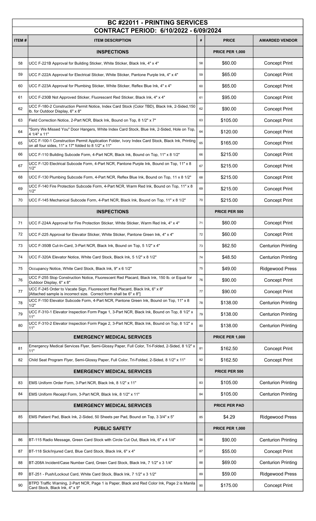| <b>BC #22011 - PRINTING SERVICES</b><br>CONTRACT PERIOD: 6/10/2022 - 6/09/2024 |                                                                                                                                                        |      |                        |                           |
|--------------------------------------------------------------------------------|--------------------------------------------------------------------------------------------------------------------------------------------------------|------|------------------------|---------------------------|
| <b>ITEM#</b>                                                                   | <b>ITEM DESCRIPTION</b>                                                                                                                                | $\#$ | <b>PRICE</b>           | <b>AWARDED VENDOR</b>     |
|                                                                                | <b>INSPECTIONS</b>                                                                                                                                     |      | <b>PRICE PER 1,000</b> |                           |
| 58                                                                             | UCC F-221B Approval for Building Sticker, White Sticker, Black Ink, 4" x 4"                                                                            | 58   | \$60.00                | <b>Concept Print</b>      |
| 59                                                                             | UCC F-222A Approval for Electrical Sticker, White Sticker, Pantone Purple Ink, 4" x 4"                                                                 | 59   | \$65.00                | <b>Concept Print</b>      |
| 60                                                                             | UCC F-223A Approval for Plumbing Sticker, White Sticker, Reflex Blue Ink, 4" x 4"                                                                      | 60   | \$65.00                | <b>Concept Print</b>      |
| 61                                                                             | UCC F-230B Not Approved Sticker, Fluorescent Red Sticker, Black Ink, 4" x 4"                                                                           | 61   | \$95.00                | <b>Concept Print</b>      |
| 62                                                                             | UCC F-180-2 Construction Permit Notice, Index Card Stock (Color TBD), Black Ink, 2-Sided, 150<br>lb. for Outdoor Display, 6" x 8"                      | 62   | \$90.00                | <b>Concept Print</b>      |
| 63                                                                             | Field Correction Notice, 2-Part NCR, Black Ink, Bound on Top, 8 1/2" x 7"                                                                              | 63   | \$105.00               | <b>Concept Print</b>      |
| 64                                                                             | "Sorry We Missed You" Door Hangers, White Index Card Stock, Blue Ink, 2-Sided, Hole on Top,<br>4 1/4" x 11"                                            | 64   | \$120.00               | <b>Concept Print</b>      |
| 65                                                                             | UCC F-100-1 Construction Permit Application Folder, Ivory Index Card Stock, Black Ink, Printing<br>on all four sides, 11" x 17" folded to 8 1/2" x 11" | 65   | \$165.00               | <b>Concept Print</b>      |
| 66                                                                             | UCC F-110 Building Subcode Form, 4-Part NCR, Black Ink, Bound on Top, 11" x 8 1/2"                                                                     | 66   | \$215.00               | <b>Concept Print</b>      |
| 67                                                                             | UCC F-120 Electrical Subcode Form, 4-Part NCR, Pantone Purple Ink, Bound on Top, 11" x 8<br>1/2"                                                       | 67   | \$215.00               | <b>Concept Print</b>      |
| 68                                                                             | UCC F-130 Plumbing Subcode Form, 4-Part NCR, Reflex Blue Ink, Bound on Top, 11 x 8 1/2"                                                                | 68   | \$215.00               | <b>Concept Print</b>      |
| 69                                                                             | UCC F-140 Fire Protection Subcode Form, 4-Part NCR, Warm Red Ink, Bound on Top, 11" x 8<br>1/2"                                                        | 69   | \$215.00               | <b>Concept Print</b>      |
| 70                                                                             | UCC F-145 Mechanical Subcode Form, 4-Part NCR, Black Ink, Bound on Top, 11" x 8 1/2"                                                                   | 70   | \$215.00               | <b>Concept Print</b>      |
|                                                                                | <b>INSPECTIONS</b>                                                                                                                                     |      | PRICE PER 500          |                           |
| 71                                                                             | UCC F-224A Approval for Fire Protection Sticker, White Sticker, Warm Red Ink, 4" x 4"                                                                  | 71   | \$60.00                | <b>Concept Print</b>      |
| 72                                                                             | UCC F-225 Approval for Elevator Sticker, White Sticker, Pantone Green Ink, 4" x 4"                                                                     | 72   | \$60.00                | <b>Concept Print</b>      |
| 73                                                                             | UCC F-350B Cut-In-Card, 3-Part NCR, Black Ink, Bound on Top, 5 1/2" x 4"                                                                               | 73   | \$62.50                | <b>Centurion Printing</b> |
| 74                                                                             | UCC F-320A Elevator Notice, White Card Stock, Black Ink, 5 1/2" x 8 1/2"                                                                               | 74   | \$48.50                | <b>Centurion Printing</b> |
| 75                                                                             | Occupancy Notice, White Card Stock, Black Ink, 9" x 6 1/2"                                                                                             | 75   | \$49.00                | Ridgewood Press           |
| 76                                                                             | UCC F-255 Stop Construction Notice, Fluorescent Red Placard, Black Ink, 150 lb. or Equal for<br>Outdoor Display, 6" x 8"                               | 76   | \$90.00                | <b>Concept Print</b>      |
| 77                                                                             | UCC F-245 Order to Vacate Sign, Fluorescent Red Placard, Black Ink, 6" x 8"<br>[Attached sample is incorrect size. Correct form shall be 6" x 8"]      | 77   | \$90.00                | <b>Concept Print</b>      |
| 78                                                                             | UCC F-150 Elevator Subcode Form, 4-Part NCR, Pantone Green Ink, Bound on Top, 11" x 8<br>1/2"                                                          | 78   | \$138.00               | <b>Centurion Printing</b> |
| 79                                                                             | UCC F-310-1 Elevator Inspection Form Page 1, 3-Part NCR, Black Ink, Bound on Top, 8 1/2" x<br>11"                                                      | 79   | \$138.00               | <b>Centurion Printing</b> |
| 80                                                                             | UCC F-310-2 Elevator Inspection Form Page 2, 3-Part NCR, Black Ink, Bound on Top, 8 1/2" x<br>11"                                                      | 80   | \$138.00               | <b>Centurion Printing</b> |
|                                                                                | <b>EMERGENCY MEDICAL SERVICES</b>                                                                                                                      |      | <b>PRICE PER 1,000</b> |                           |
| 81                                                                             | Emergency Medical Services Flyer, Semi-Glossy Paper, Full Color, Tri-Folded, 2-Sided, 8 1/2" x<br>11"                                                  | 81   | \$162.50               | <b>Concept Print</b>      |
| 82                                                                             | Child Seat Program Flyer, Semi-Glossy Paper, Full Color, Tri-Folded, 2-Sided, 8 1/2" x 11"                                                             | 82   | \$162.50               | <b>Concept Print</b>      |
|                                                                                | <b>EMERGENCY MEDICAL SERVICES</b>                                                                                                                      |      | PRICE PER 500          |                           |
| 83                                                                             | EMS Uniform Order Form, 3-Part NCR, Black Ink, 8 1/2" x 11"                                                                                            | 83   | \$105.00               | <b>Centurion Printing</b> |
| 84                                                                             | EMS Uniform Receipt Form, 3-Part NCR, Black Ink, 8 1/2" x 11"                                                                                          | 84   | \$105.00               | <b>Centurion Printing</b> |
|                                                                                | <b>EMERGENCY MEDICAL SERVICES</b>                                                                                                                      |      | <b>PRICE PER PAD</b>   |                           |
| 85                                                                             | EMS Patient Pad, Black Ink, 2-Sided, 50 Sheets per Pad, Bound on Top, 3 3/4" x 5"                                                                      | 85   | \$4.29                 | <b>Ridgewood Press</b>    |
|                                                                                | <b>PUBLIC SAFETY</b>                                                                                                                                   |      | <b>PRICE PER 1,000</b> |                           |
| 86                                                                             | BT-115 Radio Message, Green Card Stock with Circle Cut Out, Black Ink, 6" x 4 1/4"                                                                     | 86   | \$90.00                | <b>Centurion Printing</b> |
| 87                                                                             | BT-118 Sick/Injured Card, Blue Card Stock, Black Ink, 6" x 4"                                                                                          | 87   | \$55.00                | <b>Concept Print</b>      |
| 88                                                                             | BT-208A Incident/Case Number Card, Green Card Stock, Black Ink, 7 1/2" x 3 1/4"                                                                        | 88   | \$69.00                | <b>Centurion Printing</b> |
| 89                                                                             | BT-251 - Push/Lockout Card, White Card Stock, Black Ink, 7 1/2" x 3 1/2"                                                                               | 89   | \$59.00                | <b>Ridgewood Press</b>    |
| 90                                                                             | BTPD Traffic Warning, 2-Part NCR, Page 1 is Paper, Black and Red Color Ink, Page 2 is Manila<br>Card Stock, Black Ink, 4" x 9"                         | 90   | \$175.00               | <b>Concept Print</b>      |